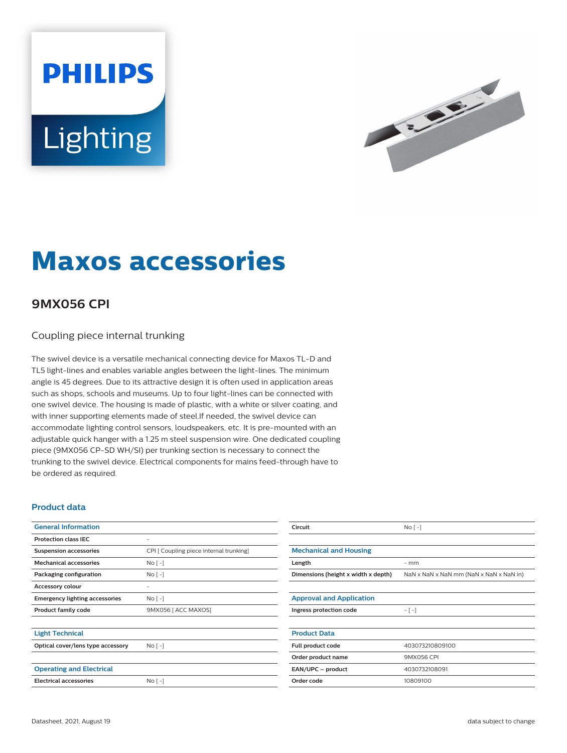# **PHILIPS** Lighting



## **Maxos accessories**

### **9MX056 CPI**

#### Coupling piece internal trunking

The swivel device is a versatile mechanical connecting device for Maxos TL-D and TL5 light-lines and enables variable angles between the light-lines. The minimum angle is 45 degrees. Due to its attractive design it is often used in application areas such as shops, schools and museums. Up to four light-lines can be connected with one swivel device. The housing is made of plastic, with a white or silver coating, and with inner supporting elements made of steel.If needed, the swivel device can accommodate lighting control sensors, loudspeakers, etc. It is pre-mounted with an adjustable quick hanger with a 1.25 m steel suspension wire. One dedicated coupling piece (9MX056 CP-SD WH/SI) per trunking section is necessary to connect the trunking to the swivel device. Electrical components for mains feed-through have to be ordered as required.

#### **Product data**

| <b>General Information</b>            |                                         | Circuit                             | $No [-]$                                |
|---------------------------------------|-----------------------------------------|-------------------------------------|-----------------------------------------|
| <b>Protection class IEC</b>           | ٠                                       |                                     |                                         |
| <b>Suspension accessories</b>         | CPI [ Coupling piece internal trunking] | <b>Mechanical and Housing</b>       |                                         |
| <b>Mechanical accessories</b>         | $No [-]$                                | Length                              | $-$ mm                                  |
| Packaging configuration               | $No [-]$                                | Dimensions (height x width x depth) | NaN x NaN x NaN mm (NaN x NaN x NaN in) |
| Accessory colour                      | ٠                                       |                                     |                                         |
| <b>Emergency lighting accessories</b> | $No[-]$                                 | <b>Approval and Application</b>     |                                         |
| Product family code                   | 9MX056 [ ACC MAXOS]                     | Ingress protection code             | $-[-]$                                  |
| <b>Light Technical</b>                |                                         | <b>Product Data</b>                 |                                         |
| Optical cover/lens type accessory     | $No[-]$                                 | Full product code                   | 403073210809100                         |
|                                       |                                         | Order product name                  | 9MX056 CPI                              |
| <b>Operating and Electrical</b>       |                                         | EAN/UPC - product                   | 4030732108091                           |
| <b>Electrical accessories</b>         | $No [-]$                                | Order code                          | 10809100                                |
|                                       |                                         |                                     |                                         |